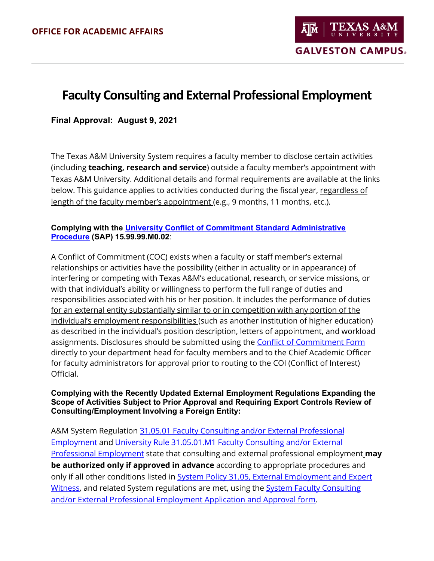TEXAS A **GALVESTON CAMPUS.** 

# **Faculty Consulting and External Professional Employment**

## **Final Approval: August 9, 2021**

The Texas A&M University System requires a faculty member to disclose certain activities (including **teaching, research and service**) outside a faculty member's appointment with Texas A&M University. Additional details and formal requirements are available at the links below. This guidance applies to activities conducted during the fiscal year, regardless of length of the faculty member's appointment (e.g., 9 months, 11 months, etc.).

#### **Complying with the [University Conflict of Commitment Standard Administrative](https://rules-saps.tamu.edu/rules-saps-library/)  [Procedure](https://rules-saps.tamu.edu/rules-saps-library/) (SAP) 15.99.99.M0.02**:

A Conflict of Commitment (COC) exists when a faculty or staff member's external relationships or activities have the possibility (either in actuality or in appearance) of interfering or competing with Texas A&M's educational, research, or service missions, or with that individual's ability or willingness to perform the full range of duties and responsibilities associated with his or her position. It includes the performance of duties for an external entity substantially similar to or in competition with any portion of the individual's employment responsibilities (such as another institution of higher education) as described in the individual's position description, letters of appointment, and workload assignments. Disclosures should be submitted using the [Conflict of Commitment Form](https://vpr.tamu.edu/forms/pdfs/conflict-of-commitment-form) directly to your department head for faculty members and to the Chief Academic Officer for faculty administrators for approval prior to routing to the COI (Conflict of Interest) Official.

#### **Complying with the Recently Updated External Employment Regulations Expanding the Scope of Activities Subject to Prior Approval and Requiring Export Controls Review of Consulting/Employment Involving a Foreign Entity:**

A&M System Regulation [31.05.01 Faculty Consulting and/or External Professional](https://policies.tamus.edu/31-05-01.pdf)  [Employment](https://policies.tamus.edu/31-05-01.pdf) and [University Rule 31.05.01.M1 Faculty Consulting and/or External](https://rules-saps.tamu.edu/rules-saps-library/)  [Professional Employment](https://rules-saps.tamu.edu/rules-saps-library/) state that consulting and external professional employment **may be authorized only if approved in advance** according to appropriate procedures and only if all other conditions listed in System Policy 31.05, External Employment and Expert [Witness,](https://policies.tamus.edu/31-05.pdf) and related System regulations are met, using the [System Faculty Consulting](https://assets.system.tamus.edu/files/policy/pdf/Consult-and-Ext-Employment.pdf)  [and/or External Professional Employment Application and Approval form.](https://assets.system.tamus.edu/files/policy/pdf/Consult-and-Ext-Employment.pdf)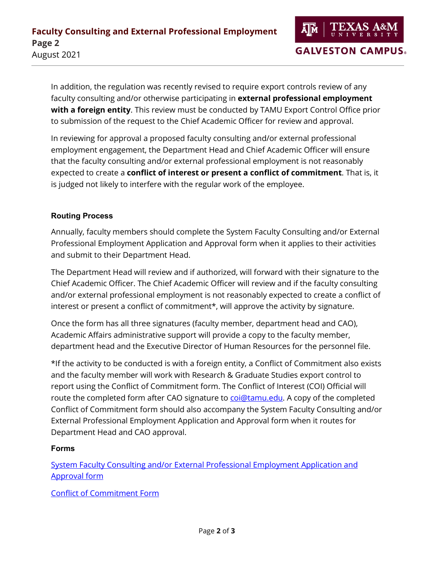In addition, the regulation was recently revised to require export controls review of any faculty consulting and/or otherwise participating in **external professional employment with a foreign entity**. This review must be conducted by TAMU Export Control Office prior to submission of the request to the Chief Academic Officer for review and approval.

In reviewing for approval a proposed faculty consulting and/or external professional employment engagement, the Department Head and Chief Academic Officer will ensure that the faculty consulting and/or external professional employment is not reasonably expected to create a **conflict of interest or present a conflict of commitment**. That is, it is judged not likely to interfere with the regular work of the employee.

## **Routing Process**

Annually, faculty members should complete the System Faculty Consulting and/or External Professional Employment Application and Approval form when it applies to their activities and submit to their Department Head.

The Department Head will review and if authorized, will forward with their signature to the Chief Academic Officer. The Chief Academic Officer will review and if the faculty consulting and/or external professional employment is not reasonably expected to create a conflict of interest or present a conflict of commitment\*, will approve the activity by signature.

Once the form has all three signatures (faculty member, department head and CAO), Academic Affairs administrative support will provide a copy to the faculty member, department head and the Executive Director of Human Resources for the personnel file.

\*If the activity to be conducted is with a foreign entity, a Conflict of Commitment also exists and the faculty member will work with Research & Graduate Studies export control to report using the Conflict of Commitment form. The Conflict of Interest (COI) Official will route the completed form after CAO signature to [coi@tamu.edu.](mailto:coi@tamu.edu) A copy of the completed Conflict of Commitment form should also accompany the System Faculty Consulting and/or External Professional Employment Application and Approval form when it routes for Department Head and CAO approval.

## **Forms**

[System Faculty Consulting and/or External Professional Employment Application and](https://assets.system.tamus.edu/files/policy/pdf/Consult-and-Ext-Employment.pdf)  [Approval form](https://assets.system.tamus.edu/files/policy/pdf/Consult-and-Ext-Employment.pdf)

[Conflict of Commitment Form](https://vpr.tamu.edu/forms/pdfs/conflict-of-commitment-form)